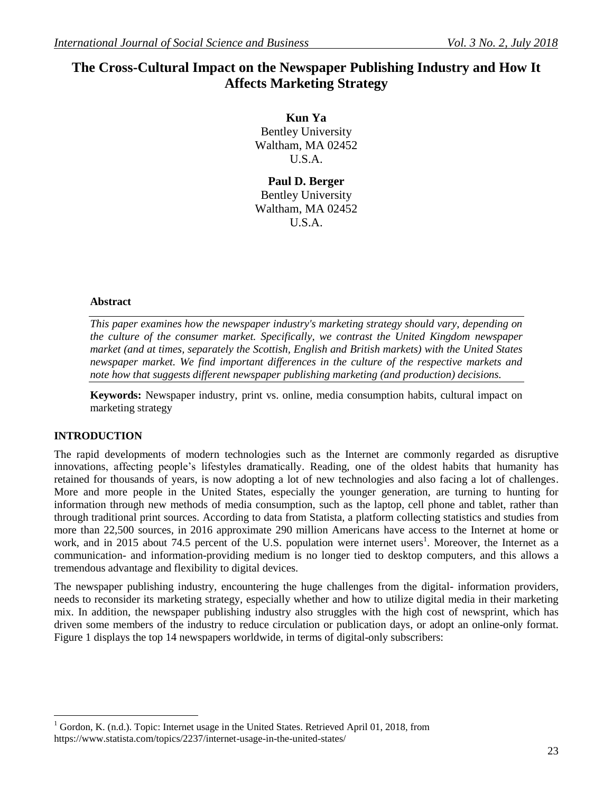# **The Cross-Cultural Impact on the Newspaper Publishing Industry and How It Affects Marketing Strategy**

**Kun Ya** Bentley University Waltham, MA 02452 U.S.A.

**Paul D. Berger** Bentley University Waltham, MA 02452 U.S.A.

#### **Abstract**

*This paper examines how the newspaper industry's marketing strategy should vary, depending on the culture of the consumer market. Specifically, we contrast the United Kingdom newspaper market (and at times, separately the Scottish, English and British markets) with the United States newspaper market. We find important differences in the culture of the respective markets and note how that suggests different newspaper publishing marketing (and production) decisions.* 

**Keywords:** Newspaper industry, print vs. online, media consumption habits, cultural impact on marketing strategy

### **INTRODUCTION**

 $\overline{a}$ 

The rapid developments of modern technologies such as the Internet are commonly regarded as disruptive innovations, affecting people's lifestyles dramatically. Reading, one of the oldest habits that humanity has retained for thousands of years, is now adopting a lot of new technologies and also facing a lot of challenges. More and more people in the United States, especially the younger generation, are turning to hunting for information through new methods of media consumption, such as the laptop, cell phone and tablet, rather than through traditional print sources. According to data from Statista, a platform collecting statistics and studies from more than 22,500 sources, in 2016 approximate 290 million Americans have access to the Internet at home or work, and in 2015 about 74.5 percent of the U.S. population were internet users<sup>1</sup>. Moreover, the Internet as a communication- and information-providing medium is no longer tied to desktop computers, and this allows a tremendous advantage and flexibility to digital devices.

The newspaper publishing industry, encountering the huge challenges from the digital- information providers, needs to reconsider its marketing strategy, especially whether and how to utilize digital media in their marketing mix. In addition, the newspaper publishing industry also struggles with the high cost of newsprint, which has driven some members of the industry to reduce circulation or publication days, or adopt an online-only format. Figure 1 displays the top 14 newspapers worldwide, in terms of digital-only subscribers:

<sup>&</sup>lt;sup>1</sup> Gordon, K. (n.d.). Topic: Internet usage in the United States. Retrieved April 01, 2018, from https://www.statista.com/topics/2237/internet-usage-in-the-united-states/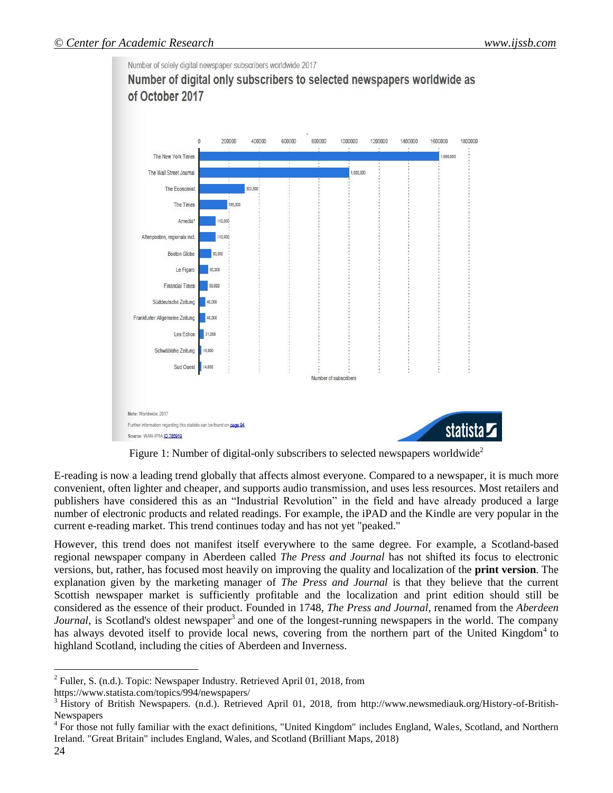

Figure 1: Number of digital-only subscribers to selected newspapers worldwide<sup>2</sup>

E-reading is now a leading trend globally that affects almost everyone. Compared to a newspaper, it is much more convenient, often lighter and cheaper, and supports audio transmission, and uses less resources. Most retailers and publishers have considered this as an "Industrial Revolution" in the field and have already produced a large number of electronic products and related readings. For example, the iPAD and the Kindle are very popular in the current e-reading market. This trend continues today and has not yet "peaked."

However, this trend does not manifest itself everywhere to the same degree. For example, a Scotland-based regional newspaper company in Aberdeen called *The Press and Journal* has not shifted its focus to electronic versions, but, rather, has focused most heavily on improving the quality and localization of the **print version**. The explanation given by the marketing manager of *The Press and Journal* is that they believe that the current Scottish newspaper market is sufficiently profitable and the localization and print edition should still be considered as the essence of their product. Founded in 1748, *The Press and Journal*, renamed from the *Aberdeen*  Journal, is Scotland's oldest newspaper<sup>3</sup> and one of the longest-running newspapers in the world. The company has always devoted itself to provide local news, covering from the northern part of the United Kingdom<sup>4</sup> to highland Scotland, including the cities of Aberdeen and Inverness.

 $\overline{a}$ 

<sup>&</sup>lt;sup>2</sup> Fuller, S. (n.d.). Topic: Newspaper Industry. Retrieved April 01, 2018, from

https://www.statista.com/topics/994/newspapers/

<sup>&</sup>lt;sup>3</sup> History of British Newspapers. (n.d.). Retrieved April 01, 2018, from http://www.newsmediauk.org/History-of-British-Newspapers

<sup>&</sup>lt;sup>4</sup> For those not fully familiar with the exact definitions, "United Kingdom" includes England, Wales, Scotland, and Northern Ireland. "Great Britain" includes England, Wales, and Scotland (Brilliant Maps, 2018)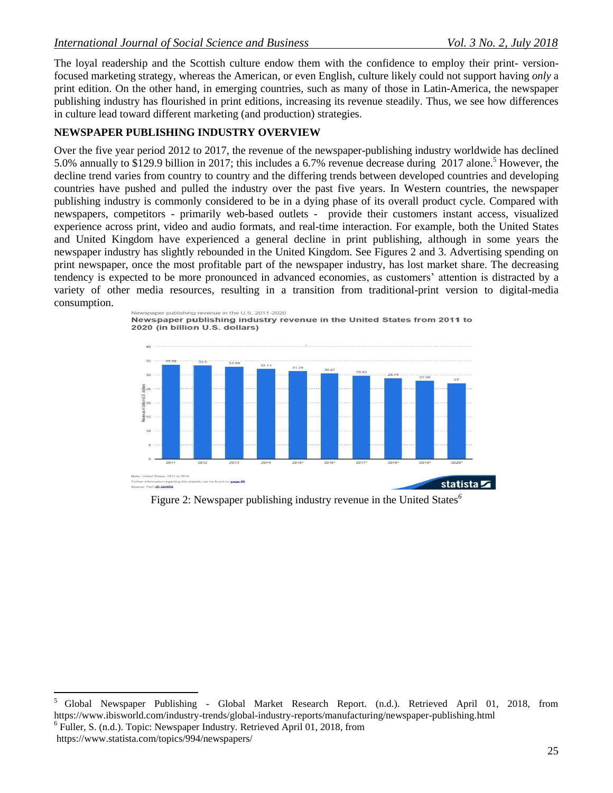The loyal readership and the Scottish culture endow them with the confidence to employ their print- versionfocused marketing strategy, whereas the American, or even English, culture likely could not support having *only* a print edition. On the other hand, in emerging countries, such as many of those in Latin-America, the newspaper publishing industry has flourished in print editions, increasing its revenue steadily. Thus, we see how differences in culture lead toward different marketing (and production) strategies.

### **NEWSPAPER PUBLISHING INDUSTRY OVERVIEW**

Over the five year period 2012 to 2017, the revenue of the newspaper-publishing industry worldwide has declined 5.0% annually to \$129.9 billion in 2017; this includes a 6.7% revenue decrease during 2017 alone.<sup>5</sup> However, the decline trend varies from country to country and the differing trends between developed countries and developing countries have pushed and pulled the industry over the past five years. In Western countries, the newspaper publishing industry is commonly considered to be in a dying phase of its overall product cycle. Compared with newspapers, competitors - primarily web-based outlets - provide their customers instant access, visualized experience across print, video and audio formats, and real-time interaction. For example, both the United States and United Kingdom have experienced a general decline in print publishing, although in some years the newspaper industry has slightly rebounded in the United Kingdom. See Figures 2 and 3. Advertising spending on print newspaper, once the most profitable part of the newspaper industry, has lost market share. The decreasing tendency is expected to be more pronounced in advanced economies, as customers' attention is distracted by a variety of other media resources, resulting in a transition from traditional-print version to digital-media consumption.



Figure 2: Newspaper publishing industry revenue in the United States*<sup>6</sup>*

https://www.statista.com/topics/994/newspapers/

 $\sqrt{5}$ <sup>5</sup> Global Newspaper Publishing - Global Market Research Report. (n.d.). Retrieved April 01, 2018, from https://www.ibisworld.com/industry-trends/global-industry-reports/manufacturing/newspaper-publishing.html <sup>6</sup> Fuller, S. (n.d.). Topic: Newspaper Industry. Retrieved April 01, 2018, from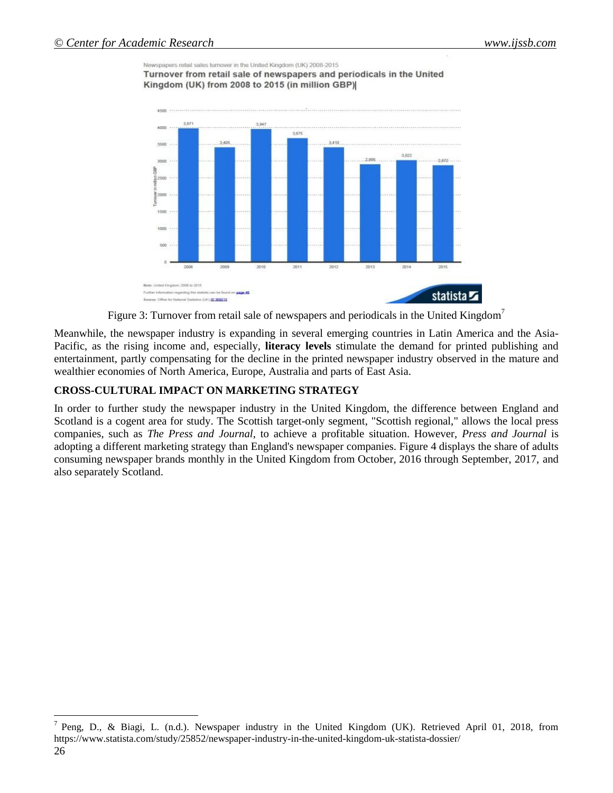$\overline{a}$ 

Newspapers retail sales turnover in the United Kingdom (UK) 2008-2015 Turnover from retail sale of newspapers and periodicals in the United Kingdom (UK) from 2008 to 2015 (in million GBP)



Figure 3: Turnover from retail sale of newspapers and periodicals in the United Kingdom<sup>7</sup>

Meanwhile, the newspaper industry is expanding in several emerging countries in Latin America and the Asia-Pacific, as the rising income and, especially, **literacy levels** stimulate the demand for printed publishing and entertainment, partly compensating for the decline in the printed newspaper industry observed in the mature and wealthier economies of North America, Europe, Australia and parts of East Asia.

# **CROSS-CULTURAL IMPACT ON MARKETING STRATEGY**

In order to further study the newspaper industry in the United Kingdom, the difference between England and Scotland is a cogent area for study. The Scottish target-only segment, "Scottish regional," allows the local press companies, such as *The Press and Journal*, to achieve a profitable situation. However, *Press and Journal* is adopting a different marketing strategy than England's newspaper companies. Figure 4 displays the share of adults consuming newspaper brands monthly in the United Kingdom from October, 2016 through September, 2017, and also separately Scotland.

<sup>26</sup> <sup>7</sup> Peng, D., & Biagi, L. (n.d.). Newspaper industry in the United Kingdom (UK). Retrieved April 01, 2018, from https://www.statista.com/study/25852/newspaper-industry-in-the-united-kingdom-uk-statista-dossier/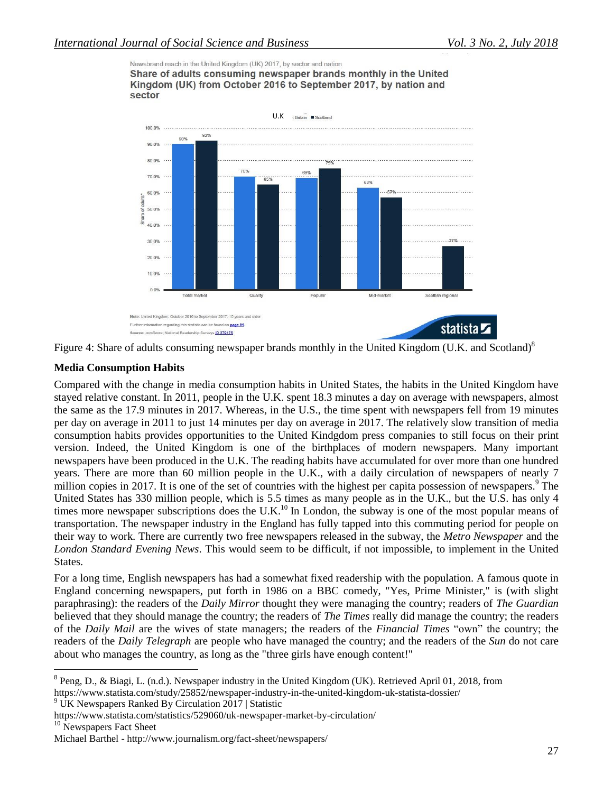Newsbrand reach in the United Kingdom (UK) 2017, by sector and nation

Share of adults consuming newspaper brands monthly in the United Kingdom (UK) from October 2016 to September 2017, by nation and sector





#### **Media Consumption Habits**

Compared with the change in media consumption habits in United States, the habits in the United Kingdom have stayed relative constant. In 2011, people in the U.K. spent 18.3 minutes a day on average with newspapers, almost the same as the 17.9 minutes in 2017. Whereas, in the U.S., the time spent with newspapers fell from 19 minutes per day on average in 2011 to just 14 minutes per day on average in 2017. The relatively slow transition of media consumption habits provides opportunities to the United Kindgdom press companies to still focus on their print version. Indeed, the United Kingdom is one of the birthplaces of modern newspapers. Many important newspapers have been produced in the U.K. The reading habits have accumulated for over more than one hundred years. There are more than 60 million people in the U.K., with a daily circulation of newspapers of nearly 7 million copies in 2017. It is one of the set of countries with the highest per capita possession of newspapers. $\degree$  The United States has 330 million people, which is 5.5 times as many people as in the U.K., but the U.S. has only 4 times more newspaper subscriptions does the U.K.<sup>10</sup> In London, the subway is one of the most popular means of transportation. The newspaper industry in the England has fully tapped into this commuting period for people on their way to work. There are currently two free newspapers released in the subway, the *Metro Newspaper* and the *London Standard Evening News*. This would seem to be difficult, if not impossible, to implement in the United States.

For a long time, English newspapers has had a somewhat fixed readership with the population. A famous quote in England concerning newspapers, put forth in 1986 on a BBC comedy, "Yes, Prime Minister," is (with slight paraphrasing): the readers of the *Daily Mirror* thought they were managing the country; readers of *The Guardian* believed that they should manage the country; the readers of *The Times* really did manage the country; the readers of the *Daily Mail* are the wives of state managers; the readers of the *Financial Times* "own" the country; the readers of the *Daily Telegraph* are people who have managed the country; and the readers of the *Sun* do not care about who manages the country, as long as the "three girls have enough content!"

https://www.statista.com/study/25852/newspaper-industry-in-the-united-kingdom-uk-statista-dossier/

 $\overline{a}$  $8$  Peng, D., & Biagi, L. (n.d.). Newspaper industry in the United Kingdom (UK). Retrieved April 01, 2018, from

<sup>&</sup>lt;sup>9</sup> UK Newspapers Ranked By Circulation 2017 | Statistic

https://www.statista.com/statistics/529060/uk-newspaper-market-by-circulation/

<sup>&</sup>lt;sup>10</sup> Newspapers Fact Sheet

Michael Barthel - http://www.journalism.org/fact-sheet/newspapers/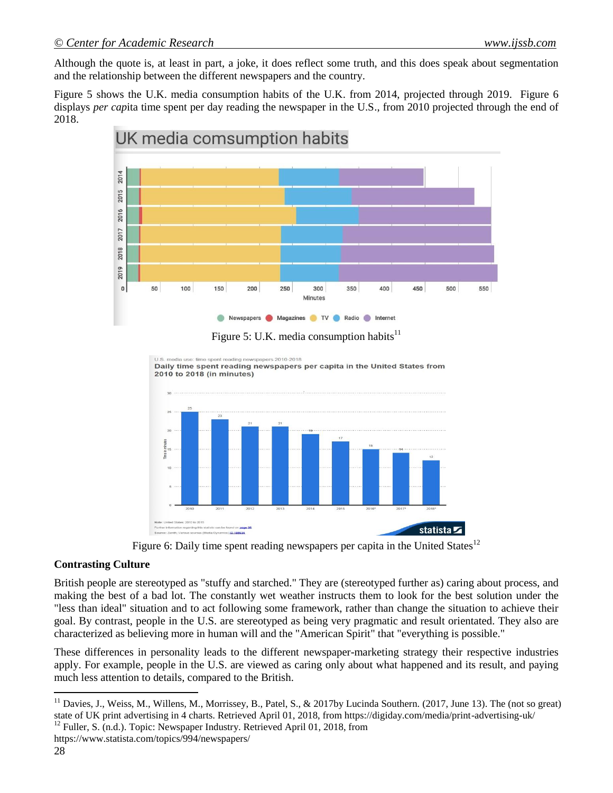Although the quote is, at least in part, a joke, it does reflect some truth, and this does speak about segmentation and the relationship between the different newspapers and the country.

Figure 5 shows the U.K. media consumption habits of the U.K. from 2014, projected through 2019. Figure 6 displays *per cap*ita time spent per day reading the newspaper in the U.S., from 2010 projected through the end of 2018.



Figure 5: U.K. media consumption habits<sup>11</sup>

wspapers 2010-2018 Daily time spent reading newspapers per capita in the United States from 2010 to 2018 (in minutes)



Figure 6: Daily time spent reading newspapers per capita in the United States<sup>12</sup>

### **Contrasting Culture**

British people are stereotyped as "stuffy and starched." They are (stereotyped further as) caring about process, and making the best of a bad lot. The constantly wet weather instructs them to look for the best solution under the "less than ideal" situation and to act following some framework, rather than change the situation to achieve their goal. By contrast, people in the U.S. are stereotyped as being very pragmatic and result orientated. They also are characterized as believing more in human will and the "American Spirit" that "everything is possible."

These differences in personality leads to the different newspaper-marketing strategy their respective industries apply. For example, people in the U.S. are viewed as caring only about what happened and its result, and paying much less attention to details, compared to the British.

 $\overline{a}$ 

<sup>&</sup>lt;sup>11</sup> Davies, J., Weiss, M., Willens, M., Morrissey, B., Patel, S., & 2017by Lucinda Southern. (2017, June 13). The (not so great) state of UK print advertising in 4 charts. Retrieved April 01, 2018, from https://digiday.com/media/print-advertising-uk/  $12$  Fuller, S. (n.d.). Topic: Newspaper Industry. Retrieved April 01, 2018, from

https://www.statista.com/topics/994/newspapers/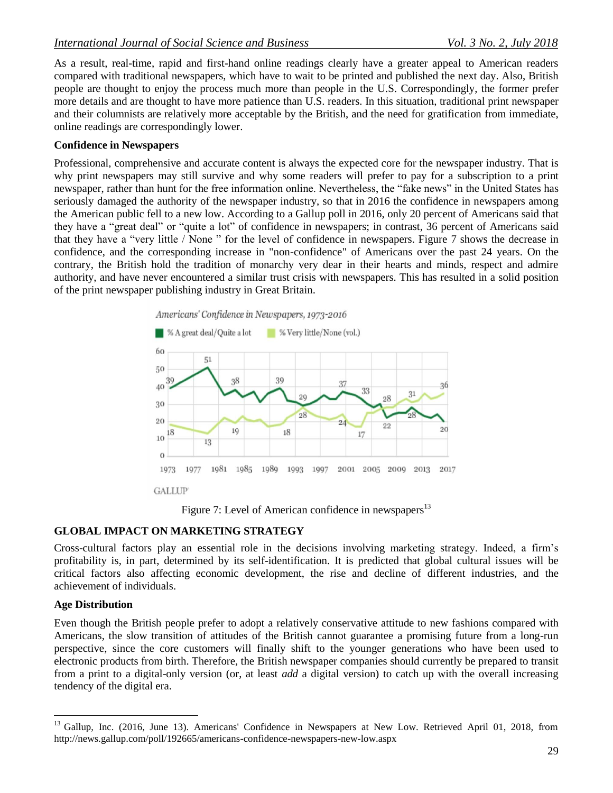As a result, real-time, rapid and first-hand online readings clearly have a greater appeal to American readers compared with traditional newspapers, which have to wait to be printed and published the next day. Also, British people are thought to enjoy the process much more than people in the U.S. Correspondingly, the former prefer more details and are thought to have more patience than U.S. readers. In this situation, traditional print newspaper and their columnists are relatively more acceptable by the British, and the need for gratification from immediate, online readings are correspondingly lower.

#### **Confidence in Newspapers**

Professional, comprehensive and accurate content is always the expected core for the newspaper industry. That is why print newspapers may still survive and why some readers will prefer to pay for a subscription to a print newspaper, rather than hunt for the free information online. Nevertheless, the "fake news" in the United States has seriously damaged the authority of the newspaper industry, so that in 2016 the confidence in newspapers among the American public fell to a new low. According to a Gallup poll in 2016, only 20 percent of Americans said that they have a "great deal" or "quite a lot" of confidence in newspapers; in contrast, 36 percent of Americans said that they have a "very little / None " for the level of confidence in newspapers. Figure 7 shows the decrease in confidence, and the corresponding increase in "non-confidence" of Americans over the past 24 years. On the contrary, the British hold the tradition of monarchy very dear in their hearts and minds, respect and admire authority, and have never encountered a similar trust crisis with newspapers. This has resulted in a solid position of the print newspaper publishing industry in Great Britain.



Figure 7: Level of American confidence in newspapers<sup>13</sup>

### **GLOBAL IMPACT ON MARKETING STRATEGY**

Cross-cultural factors play an essential role in the decisions involving marketing strategy. Indeed, a firm's profitability is, in part, determined by its self-identification. It is predicted that global cultural issues will be critical factors also affecting economic development, the rise and decline of different industries, and the achievement of individuals.

#### **Age Distribution**

 $\overline{a}$ 

Even though the British people prefer to adopt a relatively conservative attitude to new fashions compared with Americans, the slow transition of attitudes of the British cannot guarantee a promising future from a long-run perspective, since the core customers will finally shift to the younger generations who have been used to electronic products from birth. Therefore, the British newspaper companies should currently be prepared to transit from a print to a digital-only version (or, at least *add* a digital version) to catch up with the overall increasing tendency of the digital era.

<sup>&</sup>lt;sup>13</sup> Gallup, Inc. (2016, June 13). Americans' Confidence in Newspapers at New Low. Retrieved April 01, 2018, from http://news.gallup.com/poll/192665/americans-confidence-newspapers-new-low.aspx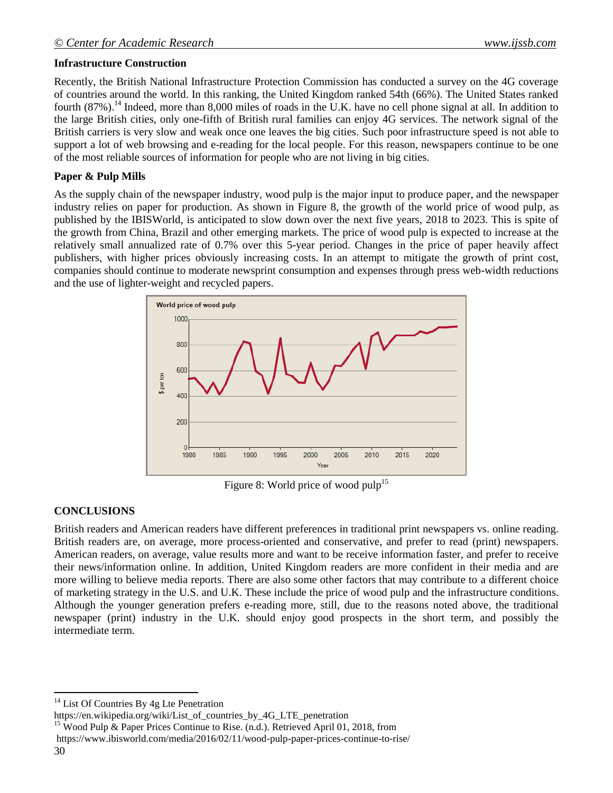# **Infrastructure Construction**

Recently, the British National Infrastructure Protection Commission has conducted a survey on the 4G coverage of countries around the world. In this ranking, the United Kingdom ranked 54th (66%). The United States ranked fourth  $(87\%)$ .<sup>14</sup> Indeed, more than 8,000 miles of roads in the U.K. have no cell phone signal at all. In addition to the large British cities, only one-fifth of British rural families can enjoy 4G services. The network signal of the British carriers is very slow and weak once one leaves the big cities. Such poor infrastructure speed is not able to support a lot of web browsing and e-reading for the local people. For this reason, newspapers continue to be one of the most reliable sources of information for people who are not living in big cities.

# **Paper & Pulp Mills**

As the supply chain of the newspaper industry, wood pulp is the major input to produce paper, and the newspaper industry relies on paper for production. As shown in Figure 8, the growth of the world price of wood pulp, as published by the IBISWorld, is anticipated to slow down over the next five years, 2018 to 2023. This is spite of the growth from China, Brazil and other emerging markets. The price of wood pulp is expected to increase at the relatively small annualized rate of 0.7% over this 5-year period. Changes in the price of paper heavily affect publishers, with higher prices obviously increasing costs. In an attempt to mitigate the growth of print cost, companies should continue to moderate newsprint consumption and expenses through press web-width reductions and the use of lighter-weight and recycled papers.



Figure 8: World price of wood pulp<sup>15</sup>

# **CONCLUSIONS**

British readers and American readers have different preferences in traditional print newspapers vs. online reading. British readers are, on average, more process-oriented and conservative, and prefer to read (print) newspapers. American readers, on average, value results more and want to be receive information faster, and prefer to receive their news/information online. In addition, United Kingdom readers are more confident in their media and are more willing to believe media reports. There are also some other factors that may contribute to a different choice of marketing strategy in the U.S. and U.K. These include the price of wood pulp and the infrastructure conditions. Although the younger generation prefers e-reading more, still, due to the reasons noted above, the traditional newspaper (print) industry in the U.K. should enjoy good prospects in the short term, and possibly the intermediate term.

 $\overline{a}$  $14$  List Of Countries By 4g Lte Penetration

https://en.wikipedia.org/wiki/List\_of\_countries\_by\_4G\_LTE\_penetration

<sup>&</sup>lt;sup>15</sup> Wood Pulp & Paper Prices Continue to Rise. (n.d.). Retrieved April 01, 2018, from https://www.ibisworld.com/media/2016/02/11/wood-pulp-paper-prices-continue-to-rise/